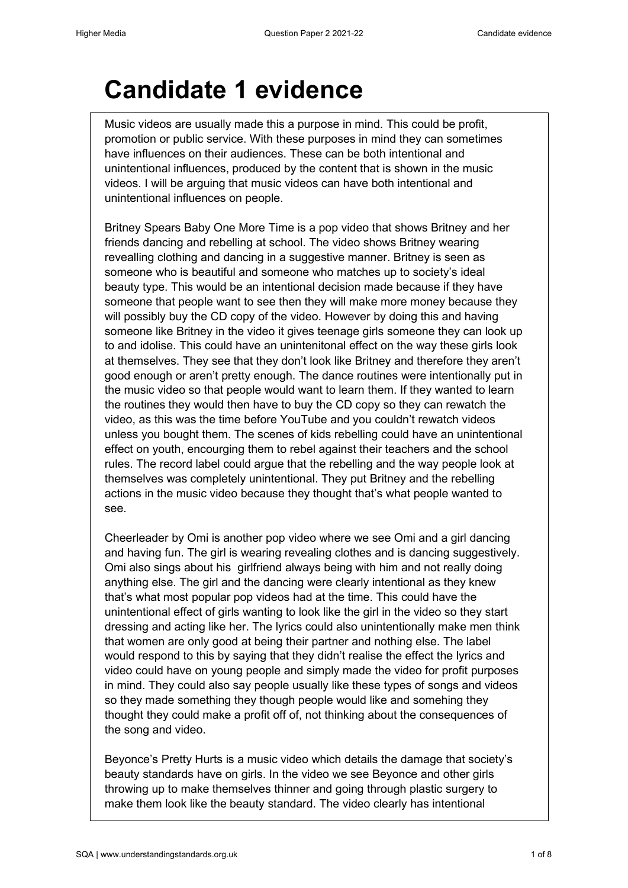## **Candidate 1 evidence**

Music videos are usually made this a purpose in mind. This could be profit, promotion or public service. With these purposes in mind they can sometimes have influences on their audiences. These can be both intentional and unintentional influences, produced by the content that is shown in the music videos. I will be arguing that music videos can have both intentional and unintentional influences on people.

Britney Spears Baby One More Time is a pop video that shows Britney and her friends dancing and rebelling at school. The video shows Britney wearing revealling clothing and dancing in a suggestive manner. Britney is seen as someone who is beautiful and someone who matches up to society's ideal beauty type. This would be an intentional decision made because if they have someone that people want to see then they will make more money because they will possibly buy the CD copy of the video. However by doing this and having someone like Britney in the video it gives teenage girls someone they can look up to and idolise. This could have an unintenitonal effect on the way these girls look at themselves. They see that they don't look like Britney and therefore they aren't good enough or aren't pretty enough. The dance routines were intentionally put in the music video so that people would want to learn them. If they wanted to learn the routines they would then have to buy the CD copy so they can rewatch the video, as this was the time before YouTube and you couldn't rewatch videos unless you bought them. The scenes of kids rebelling could have an unintentional effect on youth, encourging them to rebel against their teachers and the school rules. The record label could argue that the rebelling and the way people look at themselves was completely unintentional. They put Britney and the rebelling actions in the music video because they thought that's what people wanted to see.

Cheerleader by Omi is another pop video where we see Omi and a girl dancing and having fun. The girl is wearing revealing clothes and is dancing suggestively. Omi also sings about his girlfriend always being with him and not really doing anything else. The girl and the dancing were clearly intentional as they knew that's what most popular pop videos had at the time. This could have the unintentional effect of girls wanting to look like the girl in the video so they start dressing and acting like her. The lyrics could also unintentionally make men think that women are only good at being their partner and nothing else. The label would respond to this by saying that they didn't realise the effect the lyrics and video could have on young people and simply made the video for profit purposes in mind. They could also say people usually like these types of songs and videos so they made something they though people would like and somehing they thought they could make a profit off of, not thinking about the consequences of the song and video.

Beyonce's Pretty Hurts is a music video which details the damage that society's beauty standards have on girls. In the video we see Beyonce and other girls throwing up to make themselves thinner and going through plastic surgery to make them look like the beauty standard. The video clearly has intentional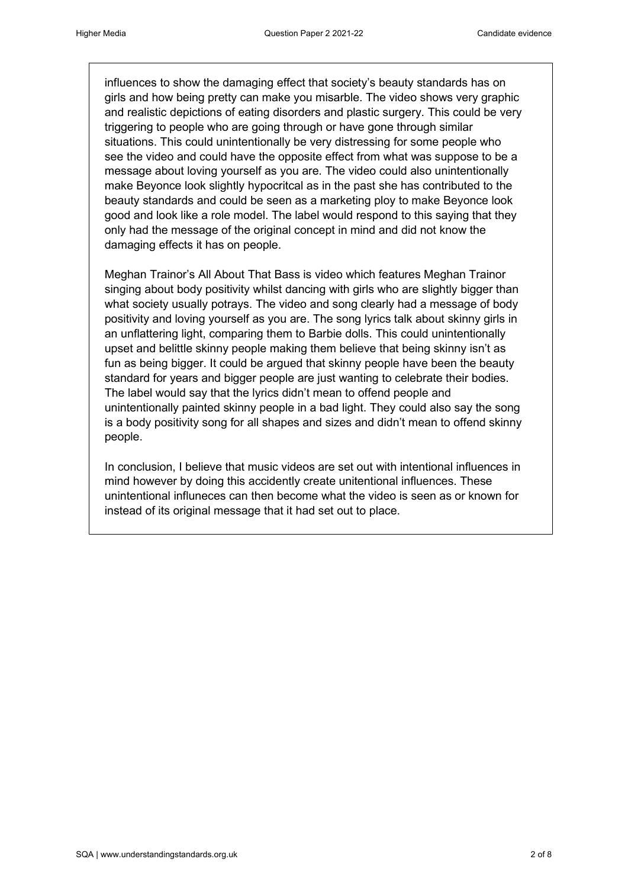influences to show the damaging effect that society's beauty standards has on girls and how being pretty can make you misarble. The video shows very graphic and realistic depictions of eating disorders and plastic surgery. This could be very triggering to people who are going through or have gone through similar situations. This could unintentionally be very distressing for some people who see the video and could have the opposite effect from what was suppose to be a message about loving yourself as you are. The video could also unintentionally make Beyonce look slightly hypocritcal as in the past she has contributed to the beauty standards and could be seen as a marketing ploy to make Beyonce look good and look like a role model. The label would respond to this saying that they only had the message of the original concept in mind and did not know the damaging effects it has on people.

Meghan Trainor's All About That Bass is video which features Meghan Trainor singing about body positivity whilst dancing with girls who are slightly bigger than what society usually potrays. The video and song clearly had a message of body positivity and loving yourself as you are. The song lyrics talk about skinny girls in an unflattering light, comparing them to Barbie dolls. This could unintentionally upset and belittle skinny people making them believe that being skinny isn't as fun as being bigger. It could be argued that skinny people have been the beauty standard for years and bigger people are just wanting to celebrate their bodies. The label would say that the lyrics didn't mean to offend people and unintentionally painted skinny people in a bad light. They could also say the song is a body positivity song for all shapes and sizes and didn't mean to offend skinny people.

In conclusion, I believe that music videos are set out with intentional influences in mind however by doing this accidently create unitentional influences. These unintentional influneces can then become what the video is seen as or known for instead of its original message that it had set out to place.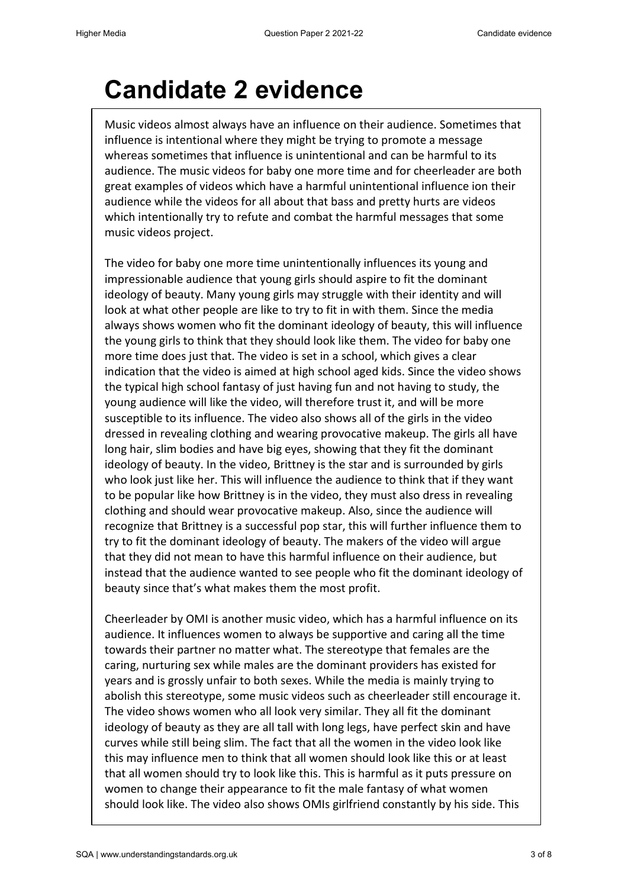## **Candidate 2 evidence**

Music videos almost always have an influence on their audience. Sometimes that influence is intentional where they might be trying to promote a message whereas sometimes that influence is unintentional and can be harmful to its audience. The music videos for baby one more time and for cheerleader are both great examples of videos which have a harmful unintentional influence ion their audience while the videos for all about that bass and pretty hurts are videos which intentionally try to refute and combat the harmful messages that some music videos project.

The video for baby one more time unintentionally influences its young and impressionable audience that young girls should aspire to fit the dominant ideology of beauty. Many young girls may struggle with their identity and will look at what other people are like to try to fit in with them. Since the media always shows women who fit the dominant ideology of beauty, this will influence the young girls to think that they should look like them. The video for baby one more time does just that. The video is set in a school, which gives a clear indication that the video is aimed at high school aged kids. Since the video shows the typical high school fantasy of just having fun and not having to study, the young audience will like the video, will therefore trust it, and will be more susceptible to its influence. The video also shows all of the girls in the video dressed in revealing clothing and wearing provocative makeup. The girls all have long hair, slim bodies and have big eyes, showing that they fit the dominant ideology of beauty. In the video, Brittney is the star and is surrounded by girls who look just like her. This will influence the audience to think that if they want to be popular like how Brittney is in the video, they must also dress in revealing clothing and should wear provocative makeup. Also, since the audience will recognize that Brittney is a successful pop star, this will further influence them to try to fit the dominant ideology of beauty. The makers of the video will argue that they did not mean to have this harmful influence on their audience, but instead that the audience wanted to see people who fit the dominant ideology of beauty since that's what makes them the most profit.

Cheerleader by OMI is another music video, which has a harmful influence on its audience. It influences women to always be supportive and caring all the time towards their partner no matter what. The stereotype that females are the caring, nurturing sex while males are the dominant providers has existed for years and is grossly unfair to both sexes. While the media is mainly trying to abolish this stereotype, some music videos such as cheerleader still encourage it. The video shows women who all look very similar. They all fit the dominant ideology of beauty as they are all tall with long legs, have perfect skin and have curves while still being slim. The fact that all the women in the video look like this may influence men to think that all women should look like this or at least that all women should try to look like this. This is harmful as it puts pressure on women to change their appearance to fit the male fantasy of what women should look like. The video also shows OMIs girlfriend constantly by his side. This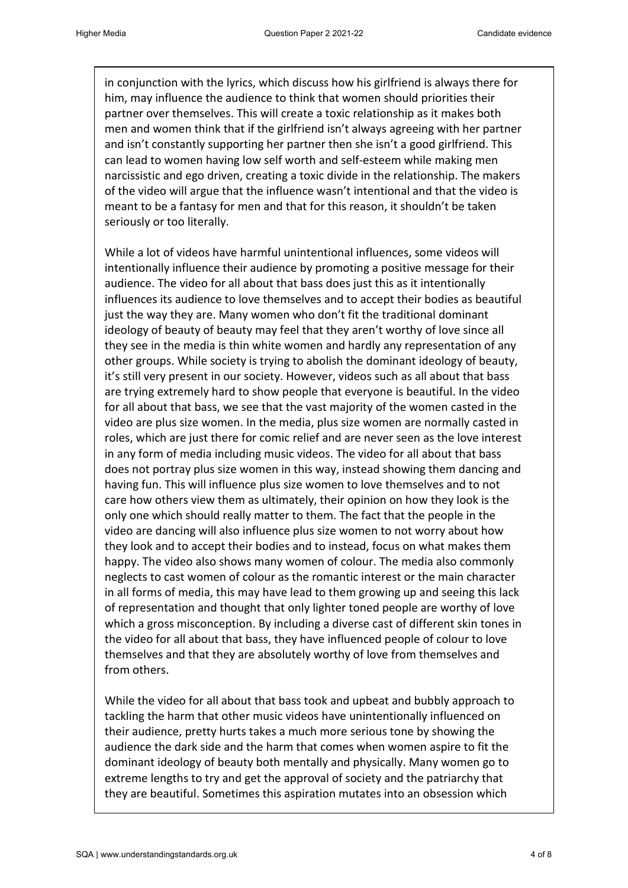in conjunction with the lyrics, which discuss how his girlfriend is always there for him, may influence the audience to think that women should priorities their partner over themselves. This will create a toxic relationship as it makes both men and women think that if the girlfriend isn't always agreeing with her partner and isn't constantly supporting her partner then she isn't a good girlfriend. This can lead to women having low self worth and self-esteem while making men narcissistic and ego driven, creating a toxic divide in the relationship. The makers of the video will argue that the influence wasn't intentional and that the video is meant to be a fantasy for men and that for this reason, it shouldn't be taken seriously or too literally.

While a lot of videos have harmful unintentional influences, some videos will intentionally influence their audience by promoting a positive message for their audience. The video for all about that bass does just this as it intentionally influences its audience to love themselves and to accept their bodies as beautiful just the way they are. Many women who don't fit the traditional dominant ideology of beauty of beauty may feel that they aren't worthy of love since all they see in the media is thin white women and hardly any representation of any other groups. While society is trying to abolish the dominant ideology of beauty, it's still very present in our society. However, videos such as all about that bass are trying extremely hard to show people that everyone is beautiful. In the video for all about that bass, we see that the vast majority of the women casted in the video are plus size women. In the media, plus size women are normally casted in roles, which are just there for comic relief and are never seen as the love interest in any form of media including music videos. The video for all about that bass does not portray plus size women in this way, instead showing them dancing and having fun. This will influence plus size women to love themselves and to not care how others view them as ultimately, their opinion on how they look is the only one which should really matter to them. The fact that the people in the video are dancing will also influence plus size women to not worry about how they look and to accept their bodies and to instead, focus on what makes them happy. The video also shows many women of colour. The media also commonly neglects to cast women of colour as the romantic interest or the main character in all forms of media, this may have lead to them growing up and seeing this lack of representation and thought that only lighter toned people are worthy of love which a gross misconception. By including a diverse cast of different skin tones in the video for all about that bass, they have influenced people of colour to love themselves and that they are absolutely worthy of love from themselves and from others.

While the video for all about that bass took and upbeat and bubbly approach to tackling the harm that other music videos have unintentionally influenced on their audience, pretty hurts takes a much more serious tone by showing the audience the dark side and the harm that comes when women aspire to fit the dominant ideology of beauty both mentally and physically. Many women go to extreme lengths to try and get the approval of society and the patriarchy that they are beautiful. Sometimes this aspiration mutates into an obsession which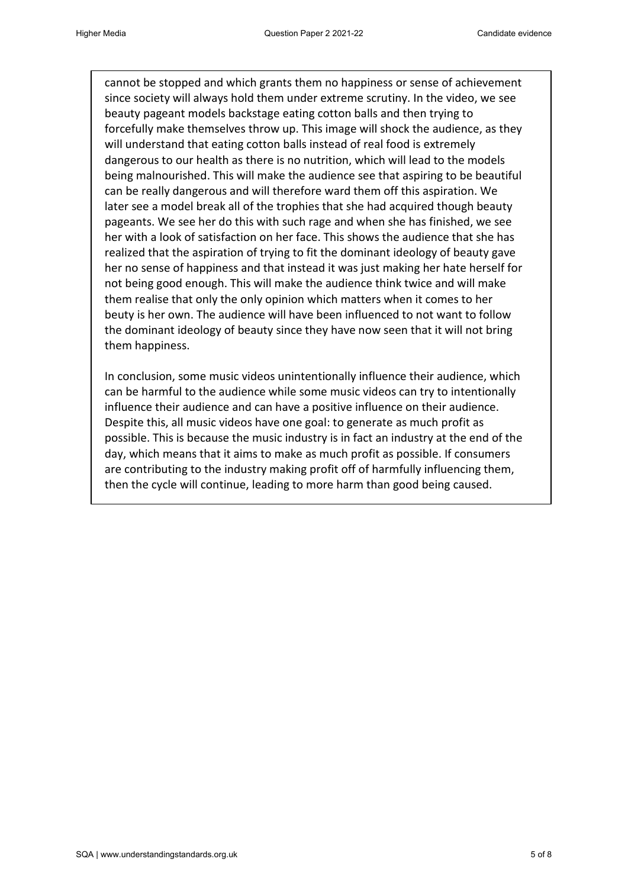cannot be stopped and which grants them no happiness or sense of achievement since society will always hold them under extreme scrutiny. In the video, we see beauty pageant models backstage eating cotton balls and then trying to forcefully make themselves throw up. This image will shock the audience, as they will understand that eating cotton balls instead of real food is extremely dangerous to our health as there is no nutrition, which will lead to the models being malnourished. This will make the audience see that aspiring to be beautiful can be really dangerous and will therefore ward them off this aspiration. We later see a model break all of the trophies that she had acquired though beauty pageants. We see her do this with such rage and when she has finished, we see her with a look of satisfaction on her face. This shows the audience that she has realized that the aspiration of trying to fit the dominant ideology of beauty gave her no sense of happiness and that instead it was just making her hate herself for not being good enough. This will make the audience think twice and will make them realise that only the only opinion which matters when it comes to her beuty is her own. The audience will have been influenced to not want to follow the dominant ideology of beauty since they have now seen that it will not bring them happiness.

In conclusion, some music videos unintentionally influence their audience, which can be harmful to the audience while some music videos can try to intentionally influence their audience and can have a positive influence on their audience. Despite this, all music videos have one goal: to generate as much profit as possible. This is because the music industry is in fact an industry at the end of the day, which means that it aims to make as much profit as possible. If consumers are contributing to the industry making profit off of harmfully influencing them, then the cycle will continue, leading to more harm than good being caused.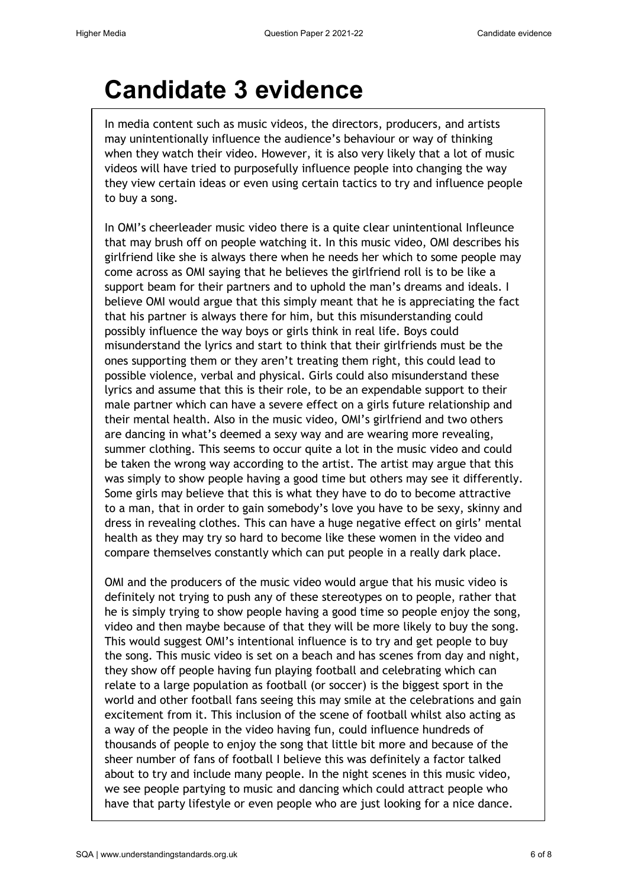## **Candidate 3 evidence**

In media content such as music videos, the directors, producers, and artists may unintentionally influence the audience's behaviour or way of thinking when they watch their video. However, it is also very likely that a lot of music videos will have tried to purposefully influence people into changing the way they view certain ideas or even using certain tactics to try and influence people to buy a song.

In OMI's cheerleader music video there is a quite clear unintentional Infleunce that may brush off on people watching it. In this music video, OMI describes his girlfriend like she is always there when he needs her which to some people may come across as OMI saying that he believes the girlfriend roll is to be like a support beam for their partners and to uphold the man's dreams and ideals. I believe OMI would argue that this simply meant that he is appreciating the fact that his partner is always there for him, but this misunderstanding could possibly influence the way boys or girls think in real life. Boys could misunderstand the lyrics and start to think that their girlfriends must be the ones supporting them or they aren't treating them right, this could lead to possible violence, verbal and physical. Girls could also misunderstand these lyrics and assume that this is their role, to be an expendable support to their male partner which can have a severe effect on a girls future relationship and their mental health. Also in the music video, OMI's girlfriend and two others are dancing in what's deemed a sexy way and are wearing more revealing, summer clothing. This seems to occur quite a lot in the music video and could be taken the wrong way according to the artist. The artist may argue that this was simply to show people having a good time but others may see it differently. Some girls may believe that this is what they have to do to become attractive to a man, that in order to gain somebody's love you have to be sexy, skinny and dress in revealing clothes. This can have a huge negative effect on girls' mental health as they may try so hard to become like these women in the video and compare themselves constantly which can put people in a really dark place.

OMI and the producers of the music video would argue that his music video is definitely not trying to push any of these stereotypes on to people, rather that he is simply trying to show people having a good time so people enjoy the song, video and then maybe because of that they will be more likely to buy the song. This would suggest OMI's intentional influence is to try and get people to buy the song. This music video is set on a beach and has scenes from day and night, they show off people having fun playing football and celebrating which can relate to a large population as football (or soccer) is the biggest sport in the world and other football fans seeing this may smile at the celebrations and gain excitement from it. This inclusion of the scene of football whilst also acting as a way of the people in the video having fun, could influence hundreds of thousands of people to enjoy the song that little bit more and because of the sheer number of fans of football I believe this was definitely a factor talked about to try and include many people. In the night scenes in this music video, we see people partying to music and dancing which could attract people who have that party lifestyle or even people who are just looking for a nice dance.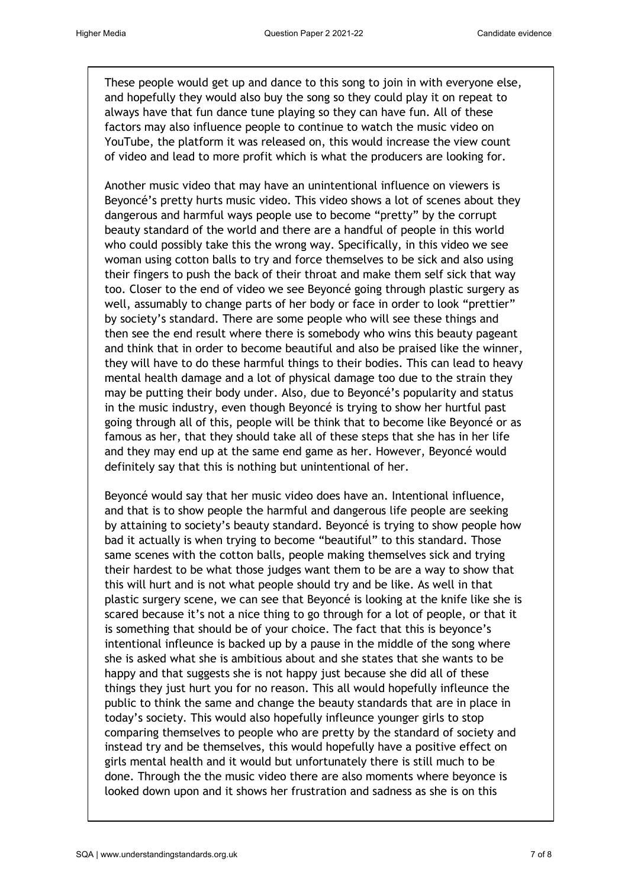These people would get up and dance to this song to join in with everyone else, and hopefully they would also buy the song so they could play it on repeat to always have that fun dance tune playing so they can have fun. All of these factors may also influence people to continue to watch the music video on YouTube, the platform it was released on, this would increase the view count of video and lead to more profit which is what the producers are looking for.

Another music video that may have an unintentional influence on viewers is Beyoncé's pretty hurts music video. This video shows a lot of scenes about they dangerous and harmful ways people use to become "pretty" by the corrupt beauty standard of the world and there are a handful of people in this world who could possibly take this the wrong way. Specifically, in this video we see woman using cotton balls to try and force themselves to be sick and also using their fingers to push the back of their throat and make them self sick that way too. Closer to the end of video we see Beyoncé going through plastic surgery as well, assumably to change parts of her body or face in order to look "prettier" by society's standard. There are some people who will see these things and then see the end result where there is somebody who wins this beauty pageant and think that in order to become beautiful and also be praised like the winner, they will have to do these harmful things to their bodies. This can lead to heavy mental health damage and a lot of physical damage too due to the strain they may be putting their body under. Also, due to Beyoncé's popularity and status in the music industry, even though Beyoncé is trying to show her hurtful past going through all of this, people will be think that to become like Beyoncé or as famous as her, that they should take all of these steps that she has in her life and they may end up at the same end game as her. However, Beyoncé would definitely say that this is nothing but unintentional of her.

Beyoncé would say that her music video does have an. Intentional influence, and that is to show people the harmful and dangerous life people are seeking by attaining to society's beauty standard. Beyoncé is trying to show people how bad it actually is when trying to become "beautiful" to this standard. Those same scenes with the cotton balls, people making themselves sick and trying their hardest to be what those judges want them to be are a way to show that this will hurt and is not what people should try and be like. As well in that plastic surgery scene, we can see that Beyoncé is looking at the knife like she is scared because it's not a nice thing to go through for a lot of people, or that it is something that should be of your choice. The fact that this is beyonce's intentional infleunce is backed up by a pause in the middle of the song where she is asked what she is ambitious about and she states that she wants to be happy and that suggests she is not happy just because she did all of these things they just hurt you for no reason. This all would hopefully infleunce the public to think the same and change the beauty standards that are in place in today's society. This would also hopefully infleunce younger girls to stop comparing themselves to people who are pretty by the standard of society and instead try and be themselves, this would hopefully have a positive effect on girls mental health and it would but unfortunately there is still much to be done. Through the the music video there are also moments where beyonce is looked down upon and it shows her frustration and sadness as she is on this